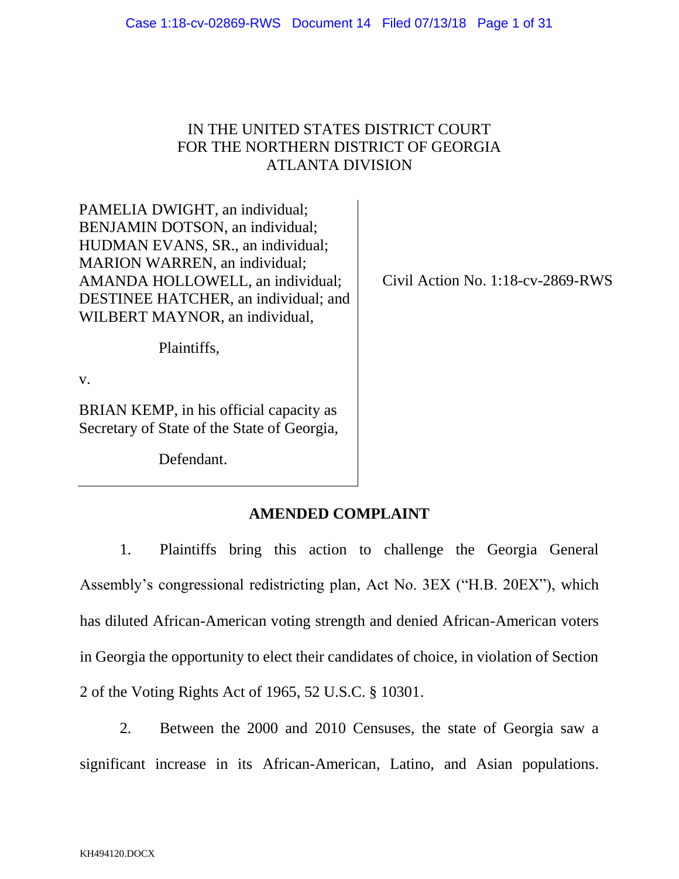## IN THE UNITED STATES DISTRICT COURT FOR THE NORTHERN DISTRICT OF GEORGIA ATLANTA DIVISION

PAMELIA DWIGHT, an individual; BENJAMIN DOTSON, an individual; HUDMAN EVANS, SR., an individual; MARION WARREN, an individual; AMANDA HOLLOWELL, an individual; DESTINEE HATCHER, an individual; and WILBERT MAYNOR, an individual,

Civil Action No. 1:18-cv-2869-RWS

Plaintiffs,

v.

BRIAN KEMP, in his official capacity as Secretary of State of the State of Georgia,

Defendant.

# **AMENDED COMPLAINT**

1. Plaintiffs bring this action to challenge the Georgia General Assembly's congressional redistricting plan, Act No. 3EX ("H.B. 20EX"), which has diluted African-American voting strength and denied African-American voters in Georgia the opportunity to elect their candidates of choice, in violation of Section 2 of the Voting Rights Act of 1965, 52 U.S.C. § 10301.

2. Between the 2000 and 2010 Censuses, the state of Georgia saw a significant increase in its African-American, Latino, and Asian populations.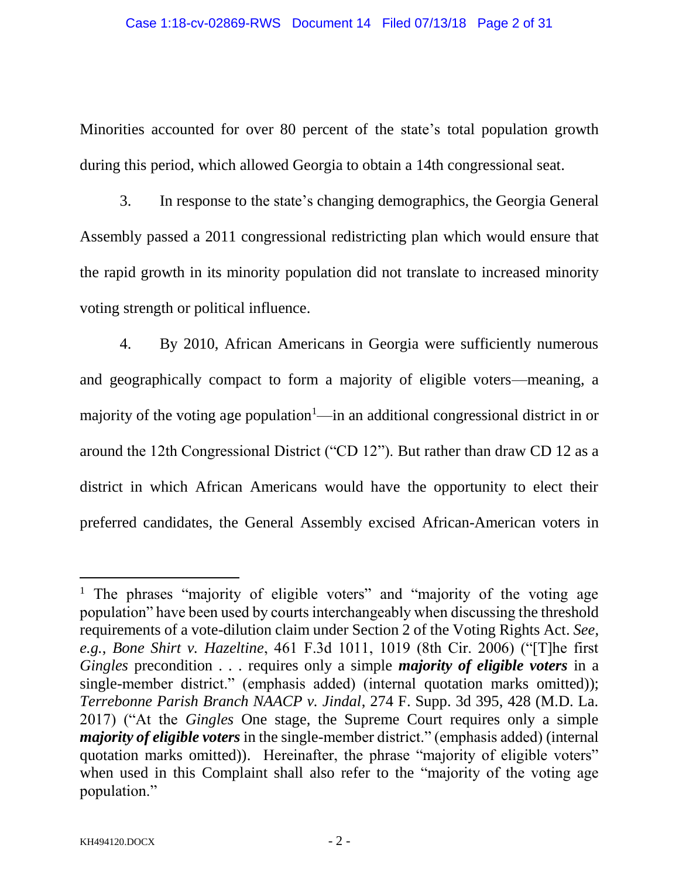Minorities accounted for over 80 percent of the state's total population growth during this period, which allowed Georgia to obtain a 14th congressional seat.

3. In response to the state's changing demographics, the Georgia General Assembly passed a 2011 congressional redistricting plan which would ensure that the rapid growth in its minority population did not translate to increased minority voting strength or political influence.

4. By 2010, African Americans in Georgia were sufficiently numerous and geographically compact to form a majority of eligible voters—meaning, a majority of the voting age population<sup>1</sup>—in an additional congressional district in or around the 12th Congressional District ("CD 12"). But rather than draw CD 12 as a district in which African Americans would have the opportunity to elect their preferred candidates, the General Assembly excised African-American voters in

l

<sup>&</sup>lt;sup>1</sup> The phrases "majority of eligible voters" and "majority of the voting age population" have been used by courts interchangeably when discussing the threshold requirements of a vote-dilution claim under Section 2 of the Voting Rights Act. *See*, *e.g.*, *Bone Shirt v. Hazeltine*, 461 F.3d 1011, 1019 (8th Cir. 2006) ("[T]he first *Gingles* precondition . . . requires only a simple *majority of eligible voters* in a single-member district." (emphasis added) (internal quotation marks omitted)); *Terrebonne Parish Branch NAACP v. Jindal*, 274 F. Supp. 3d 395, 428 (M.D. La. 2017) ("At the *Gingles* One stage, the Supreme Court requires only a simple *majority of eligible voters* in the single-member district." (emphasis added) (internal quotation marks omitted)). Hereinafter, the phrase "majority of eligible voters" when used in this Complaint shall also refer to the "majority of the voting age population."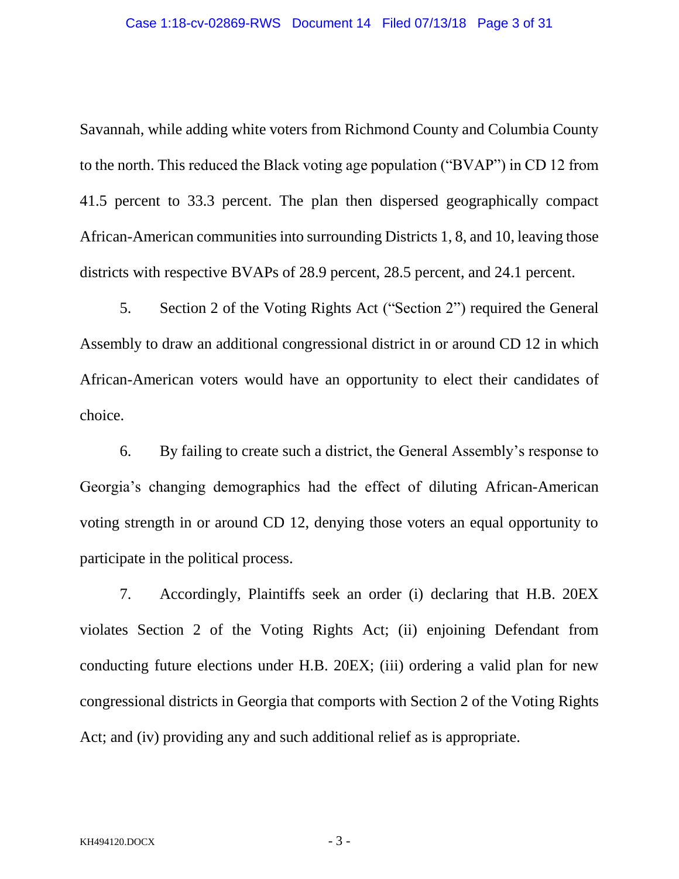#### Case 1:18-cv-02869-RWS Document 14 Filed 07/13/18 Page 3 of 31

Savannah, while adding white voters from Richmond County and Columbia County to the north. This reduced the Black voting age population ("BVAP") in CD 12 from 41.5 percent to 33.3 percent. The plan then dispersed geographically compact African-American communities into surrounding Districts 1, 8, and 10, leaving those districts with respective BVAPs of 28.9 percent, 28.5 percent, and 24.1 percent.

5. Section 2 of the Voting Rights Act ("Section 2") required the General Assembly to draw an additional congressional district in or around CD 12 in which African-American voters would have an opportunity to elect their candidates of choice.

6. By failing to create such a district, the General Assembly's response to Georgia's changing demographics had the effect of diluting African-American voting strength in or around CD 12, denying those voters an equal opportunity to participate in the political process.

7. Accordingly, Plaintiffs seek an order (i) declaring that H.B. 20EX violates Section 2 of the Voting Rights Act; (ii) enjoining Defendant from conducting future elections under H.B. 20EX; (iii) ordering a valid plan for new congressional districts in Georgia that comports with Section 2 of the Voting Rights Act; and (iv) providing any and such additional relief as is appropriate.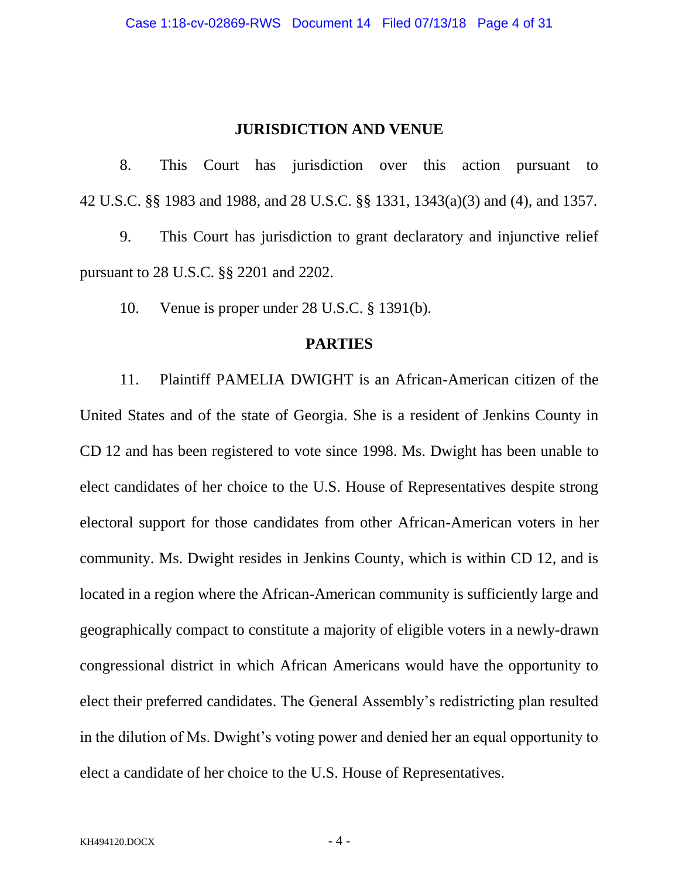#### **JURISDICTION AND VENUE**

8. This Court has jurisdiction over this action pursuant to 42 U.S.C. §§ 1983 and 1988, and 28 U.S.C. §§ 1331, 1343(a)(3) and (4), and 1357.

9. This Court has jurisdiction to grant declaratory and injunctive relief pursuant to 28 U.S.C. §§ 2201 and 2202.

10. Venue is proper under 28 U.S.C. § 1391(b).

#### **PARTIES**

11. Plaintiff PAMELIA DWIGHT is an African-American citizen of the United States and of the state of Georgia. She is a resident of Jenkins County in CD 12 and has been registered to vote since 1998. Ms. Dwight has been unable to elect candidates of her choice to the U.S. House of Representatives despite strong electoral support for those candidates from other African-American voters in her community. Ms. Dwight resides in Jenkins County, which is within CD 12, and is located in a region where the African-American community is sufficiently large and geographically compact to constitute a majority of eligible voters in a newly-drawn congressional district in which African Americans would have the opportunity to elect their preferred candidates. The General Assembly's redistricting plan resulted in the dilution of Ms. Dwight's voting power and denied her an equal opportunity to elect a candidate of her choice to the U.S. House of Representatives.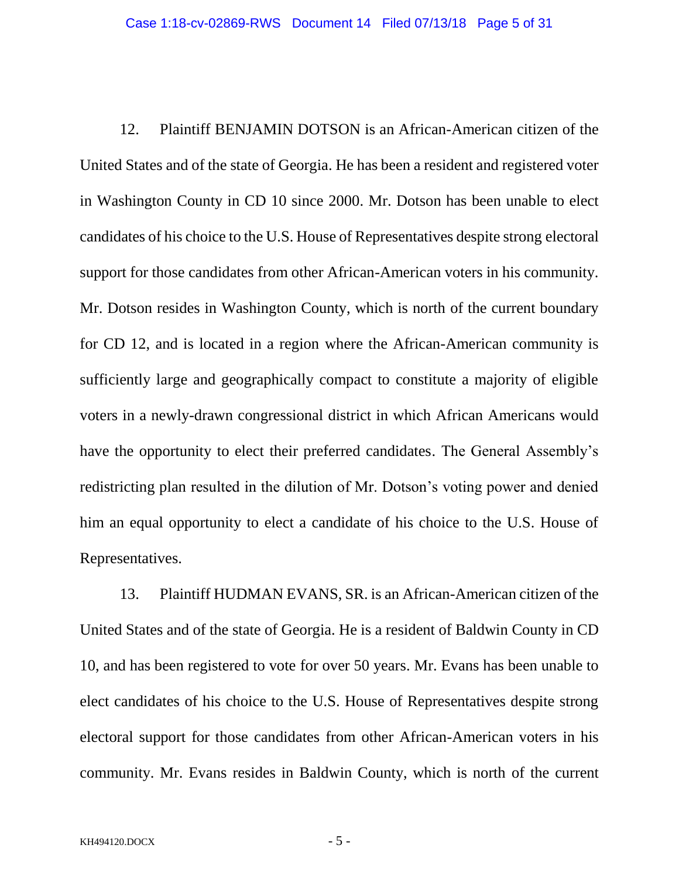12. Plaintiff BENJAMIN DOTSON is an African-American citizen of the United States and of the state of Georgia. He has been a resident and registered voter in Washington County in CD 10 since 2000. Mr. Dotson has been unable to elect candidates of his choice to the U.S. House of Representatives despite strong electoral support for those candidates from other African-American voters in his community. Mr. Dotson resides in Washington County, which is north of the current boundary for CD 12, and is located in a region where the African-American community is sufficiently large and geographically compact to constitute a majority of eligible voters in a newly-drawn congressional district in which African Americans would have the opportunity to elect their preferred candidates. The General Assembly's redistricting plan resulted in the dilution of Mr. Dotson's voting power and denied him an equal opportunity to elect a candidate of his choice to the U.S. House of Representatives.

13. Plaintiff HUDMAN EVANS, SR. is an African-American citizen of the United States and of the state of Georgia. He is a resident of Baldwin County in CD 10, and has been registered to vote for over 50 years. Mr. Evans has been unable to elect candidates of his choice to the U.S. House of Representatives despite strong electoral support for those candidates from other African-American voters in his community. Mr. Evans resides in Baldwin County, which is north of the current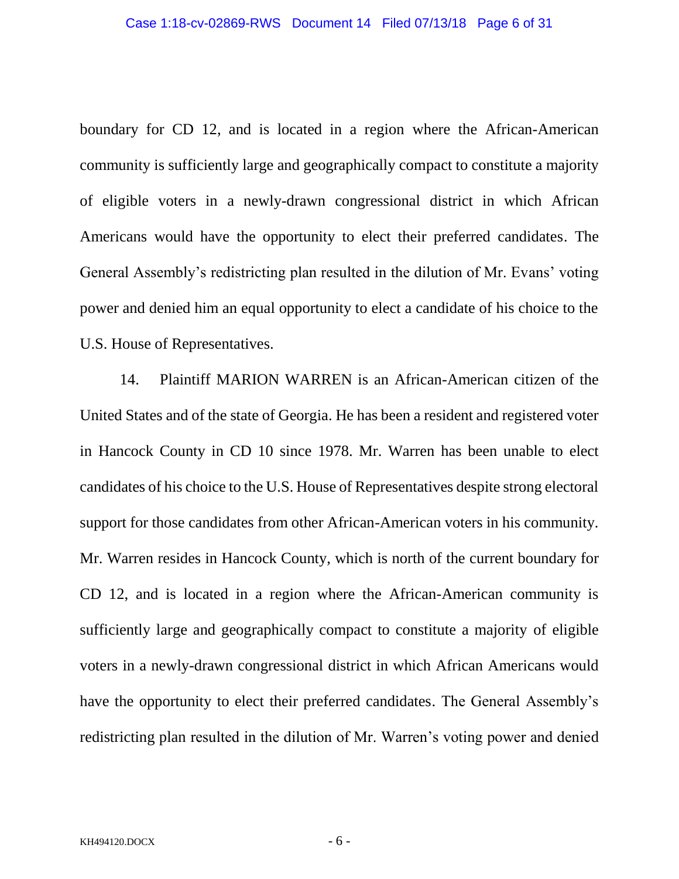boundary for CD 12, and is located in a region where the African-American community is sufficiently large and geographically compact to constitute a majority of eligible voters in a newly-drawn congressional district in which African Americans would have the opportunity to elect their preferred candidates. The General Assembly's redistricting plan resulted in the dilution of Mr. Evans' voting power and denied him an equal opportunity to elect a candidate of his choice to the U.S. House of Representatives.

14. Plaintiff MARION WARREN is an African-American citizen of the United States and of the state of Georgia. He has been a resident and registered voter in Hancock County in CD 10 since 1978. Mr. Warren has been unable to elect candidates of his choice to the U.S. House of Representatives despite strong electoral support for those candidates from other African-American voters in his community. Mr. Warren resides in Hancock County, which is north of the current boundary for CD 12, and is located in a region where the African-American community is sufficiently large and geographically compact to constitute a majority of eligible voters in a newly-drawn congressional district in which African Americans would have the opportunity to elect their preferred candidates. The General Assembly's redistricting plan resulted in the dilution of Mr. Warren's voting power and denied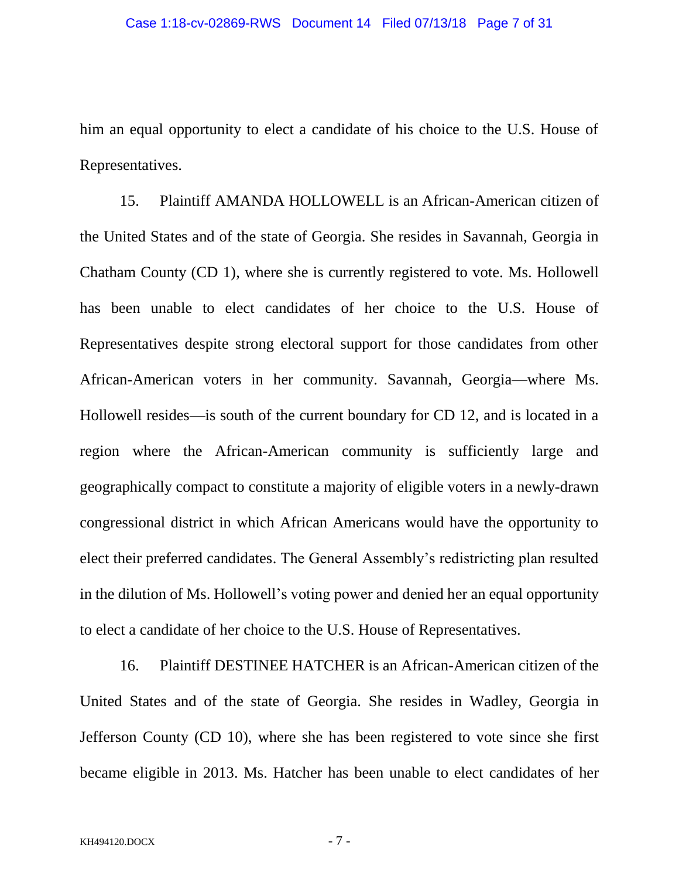him an equal opportunity to elect a candidate of his choice to the U.S. House of Representatives.

15. Plaintiff AMANDA HOLLOWELL is an African-American citizen of the United States and of the state of Georgia. She resides in Savannah, Georgia in Chatham County (CD 1), where she is currently registered to vote. Ms. Hollowell has been unable to elect candidates of her choice to the U.S. House of Representatives despite strong electoral support for those candidates from other African-American voters in her community. Savannah, Georgia—where Ms. Hollowell resides—is south of the current boundary for CD 12, and is located in a region where the African-American community is sufficiently large and geographically compact to constitute a majority of eligible voters in a newly-drawn congressional district in which African Americans would have the opportunity to elect their preferred candidates. The General Assembly's redistricting plan resulted in the dilution of Ms. Hollowell's voting power and denied her an equal opportunity to elect a candidate of her choice to the U.S. House of Representatives.

16. Plaintiff DESTINEE HATCHER is an African-American citizen of the United States and of the state of Georgia. She resides in Wadley, Georgia in Jefferson County (CD 10), where she has been registered to vote since she first became eligible in 2013. Ms. Hatcher has been unable to elect candidates of her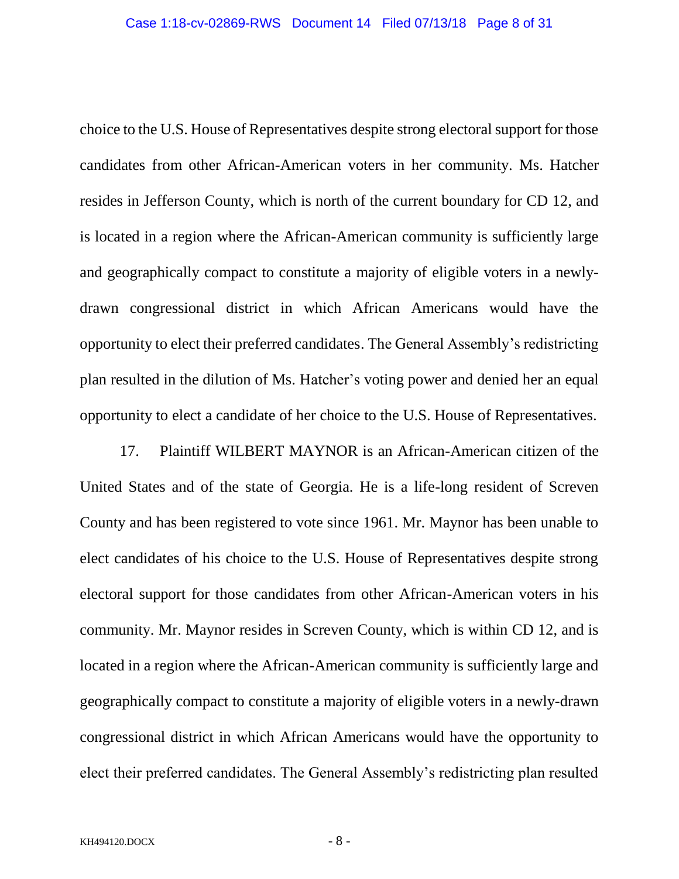choice to the U.S. House of Representatives despite strong electoral support for those candidates from other African-American voters in her community. Ms. Hatcher resides in Jefferson County, which is north of the current boundary for CD 12, and is located in a region where the African-American community is sufficiently large and geographically compact to constitute a majority of eligible voters in a newlydrawn congressional district in which African Americans would have the opportunity to elect their preferred candidates. The General Assembly's redistricting plan resulted in the dilution of Ms. Hatcher's voting power and denied her an equal opportunity to elect a candidate of her choice to the U.S. House of Representatives.

17. Plaintiff WILBERT MAYNOR is an African-American citizen of the United States and of the state of Georgia. He is a life-long resident of Screven County and has been registered to vote since 1961. Mr. Maynor has been unable to elect candidates of his choice to the U.S. House of Representatives despite strong electoral support for those candidates from other African-American voters in his community. Mr. Maynor resides in Screven County, which is within CD 12, and is located in a region where the African-American community is sufficiently large and geographically compact to constitute a majority of eligible voters in a newly-drawn congressional district in which African Americans would have the opportunity to elect their preferred candidates. The General Assembly's redistricting plan resulted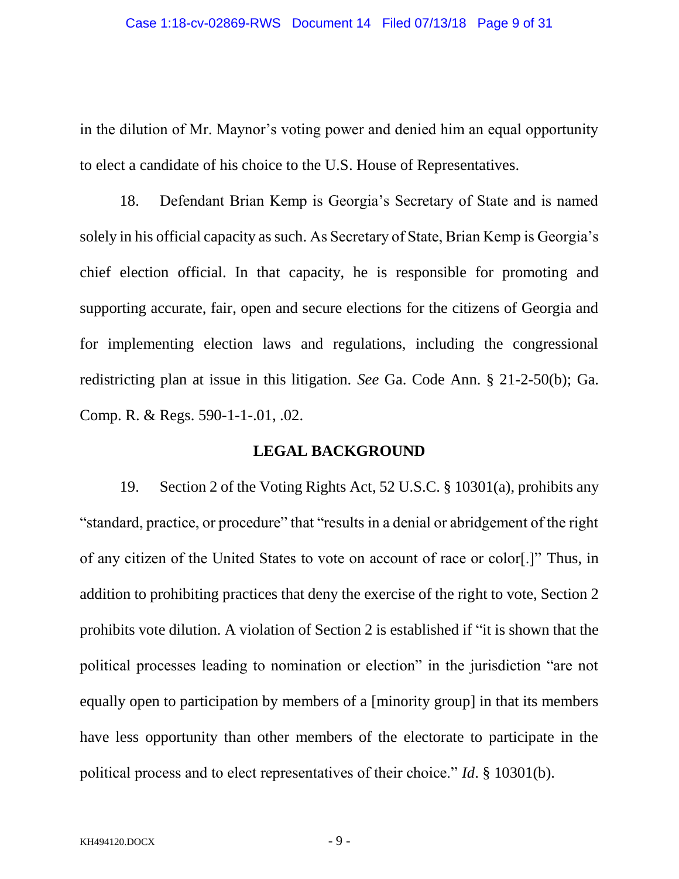in the dilution of Mr. Maynor's voting power and denied him an equal opportunity to elect a candidate of his choice to the U.S. House of Representatives.

18. Defendant Brian Kemp is Georgia's Secretary of State and is named solely in his official capacity as such. As Secretary of State, Brian Kemp is Georgia's chief election official. In that capacity, he is responsible for promoting and supporting accurate, fair, open and secure elections for the citizens of Georgia and for implementing election laws and regulations, including the congressional redistricting plan at issue in this litigation. *See* Ga. Code Ann. § 21-2-50(b); Ga. Comp. R. & Regs. 590-1-1-.01, .02.

#### **LEGAL BACKGROUND**

19. Section 2 of the Voting Rights Act, 52 U.S.C. § 10301(a), prohibits any "standard, practice, or procedure" that "results in a denial or abridgement of the right of any citizen of the United States to vote on account of race or color[.]" Thus, in addition to prohibiting practices that deny the exercise of the right to vote, Section 2 prohibits vote dilution. A violation of Section 2 is established if "it is shown that the political processes leading to nomination or election" in the jurisdiction "are not equally open to participation by members of a [minority group] in that its members have less opportunity than other members of the electorate to participate in the political process and to elect representatives of their choice." *Id*. § 10301(b).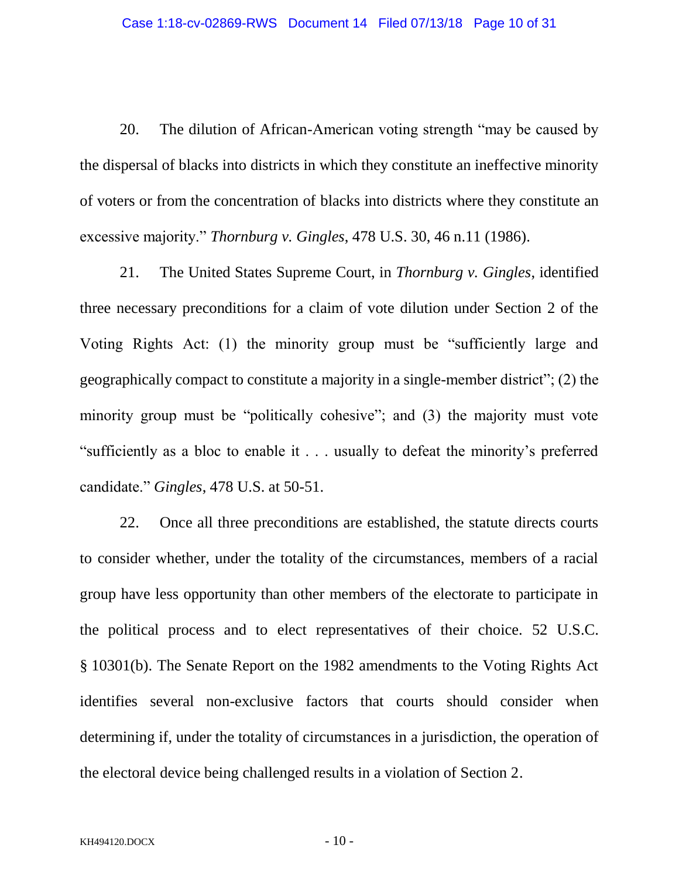20. The dilution of African-American voting strength "may be caused by the dispersal of blacks into districts in which they constitute an ineffective minority of voters or from the concentration of blacks into districts where they constitute an excessive majority." *Thornburg v. Gingles*, 478 U.S. 30, 46 n.11 (1986).

21. The United States Supreme Court, in *Thornburg v. Gingles*, identified three necessary preconditions for a claim of vote dilution under Section 2 of the Voting Rights Act: (1) the minority group must be "sufficiently large and geographically compact to constitute a majority in a single-member district"; (2) the minority group must be "politically cohesive"; and (3) the majority must vote "sufficiently as a bloc to enable it . . . usually to defeat the minority's preferred candidate." *Gingles*, 478 U.S. at 50-51.

22. Once all three preconditions are established, the statute directs courts to consider whether, under the totality of the circumstances, members of a racial group have less opportunity than other members of the electorate to participate in the political process and to elect representatives of their choice. 52 U.S.C. § 10301(b). The Senate Report on the 1982 amendments to the Voting Rights Act identifies several non-exclusive factors that courts should consider when determining if, under the totality of circumstances in a jurisdiction, the operation of the electoral device being challenged results in a violation of Section 2.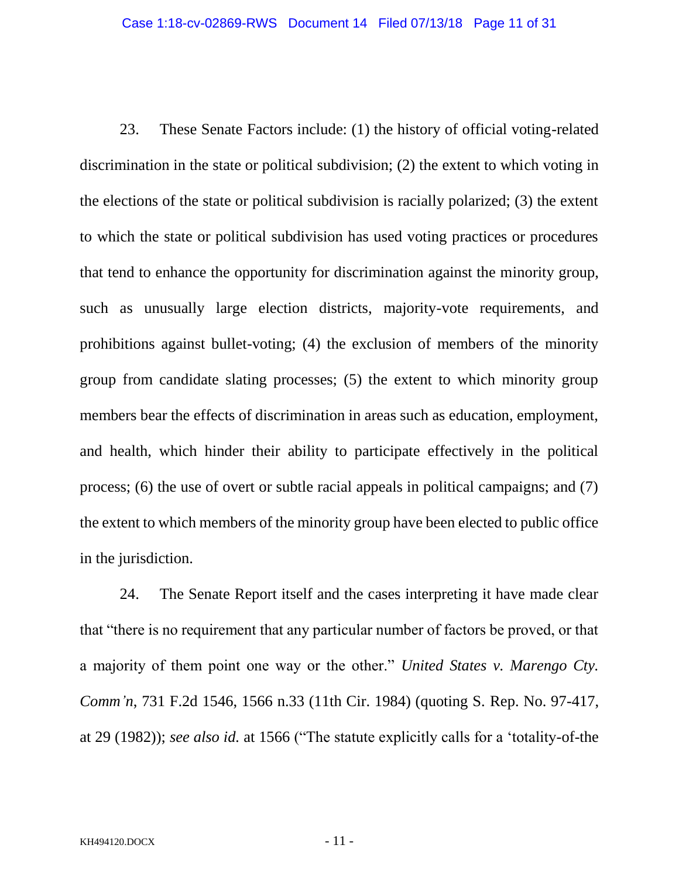23. These Senate Factors include: (1) the history of official voting-related discrimination in the state or political subdivision; (2) the extent to which voting in the elections of the state or political subdivision is racially polarized; (3) the extent to which the state or political subdivision has used voting practices or procedures that tend to enhance the opportunity for discrimination against the minority group, such as unusually large election districts, majority-vote requirements, and prohibitions against bullet-voting; (4) the exclusion of members of the minority group from candidate slating processes; (5) the extent to which minority group members bear the effects of discrimination in areas such as education, employment, and health, which hinder their ability to participate effectively in the political process; (6) the use of overt or subtle racial appeals in political campaigns; and (7) the extent to which members of the minority group have been elected to public office in the jurisdiction.

24. The Senate Report itself and the cases interpreting it have made clear that "there is no requirement that any particular number of factors be proved, or that a majority of them point one way or the other." *United States v. Marengo Cty. Comm'n*, 731 F.2d 1546, 1566 n.33 (11th Cir. 1984) (quoting S. Rep. No. 97-417, at 29 (1982)); *see also id.* at 1566 ("The statute explicitly calls for a 'totality-of-the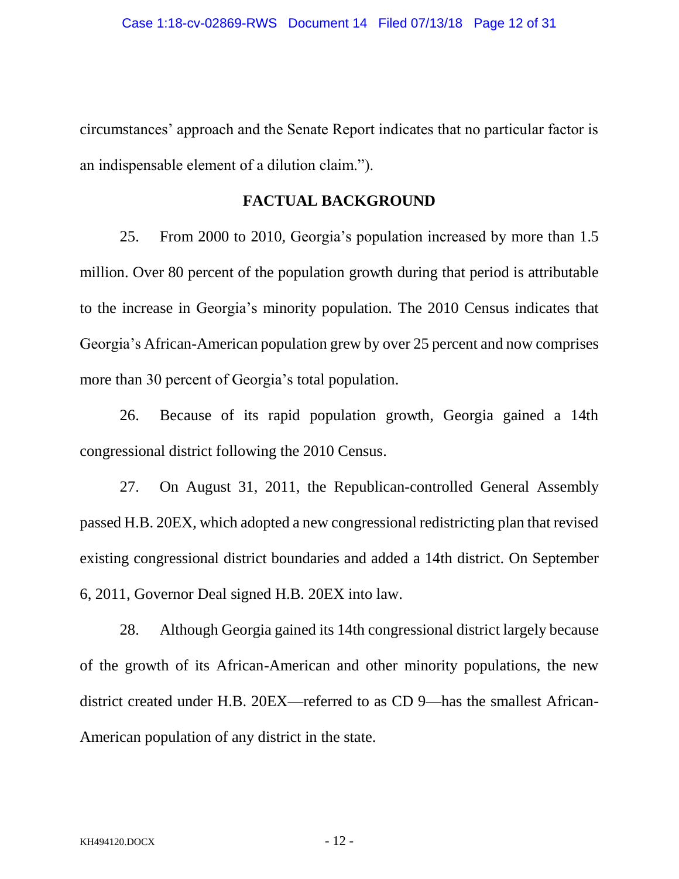circumstances' approach and the Senate Report indicates that no particular factor is an indispensable element of a dilution claim.").

## **FACTUAL BACKGROUND**

25. From 2000 to 2010, Georgia's population increased by more than 1.5 million. Over 80 percent of the population growth during that period is attributable to the increase in Georgia's minority population. The 2010 Census indicates that Georgia's African-American population grew by over 25 percent and now comprises more than 30 percent of Georgia's total population.

26. Because of its rapid population growth, Georgia gained a 14th congressional district following the 2010 Census.

27. On August 31, 2011, the Republican-controlled General Assembly passed H.B. 20EX, which adopted a new congressional redistricting plan that revised existing congressional district boundaries and added a 14th district. On September 6, 2011, Governor Deal signed H.B. 20EX into law.

28. Although Georgia gained its 14th congressional district largely because of the growth of its African-American and other minority populations, the new district created under H.B. 20EX—referred to as CD 9—has the smallest African-American population of any district in the state.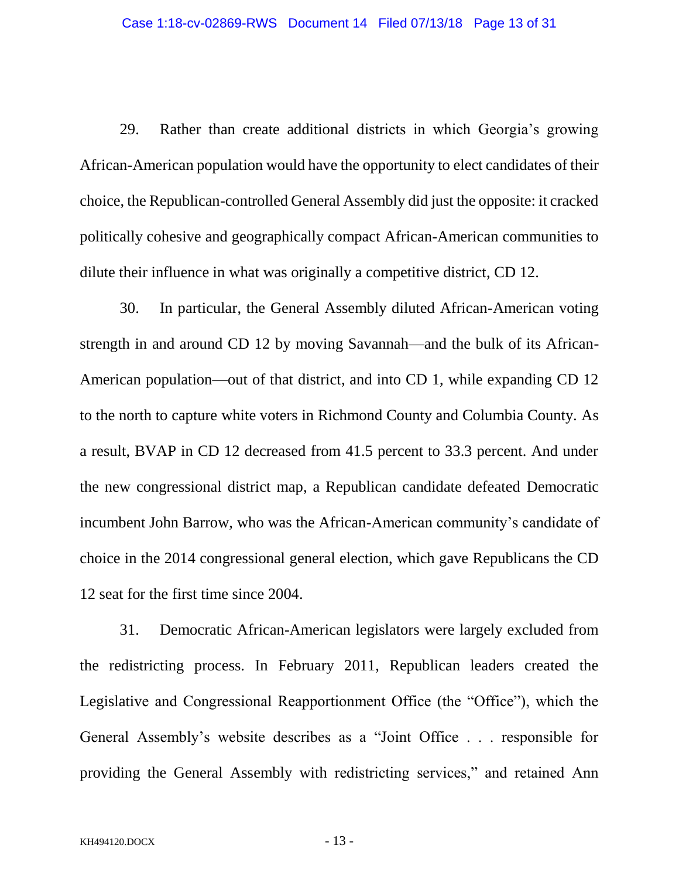29. Rather than create additional districts in which Georgia's growing African-American population would have the opportunity to elect candidates of their choice, the Republican-controlled General Assembly did just the opposite: it cracked politically cohesive and geographically compact African-American communities to dilute their influence in what was originally a competitive district, CD 12.

30. In particular, the General Assembly diluted African-American voting strength in and around CD 12 by moving Savannah—and the bulk of its African-American population—out of that district, and into CD 1, while expanding CD 12 to the north to capture white voters in Richmond County and Columbia County. As a result, BVAP in CD 12 decreased from 41.5 percent to 33.3 percent. And under the new congressional district map, a Republican candidate defeated Democratic incumbent John Barrow, who was the African-American community's candidate of choice in the 2014 congressional general election, which gave Republicans the CD 12 seat for the first time since 2004.

31. Democratic African-American legislators were largely excluded from the redistricting process. In February 2011, Republican leaders created the Legislative and Congressional Reapportionment Office (the "Office"), which the General Assembly's website describes as a "Joint Office . . . responsible for providing the General Assembly with redistricting services," and retained Ann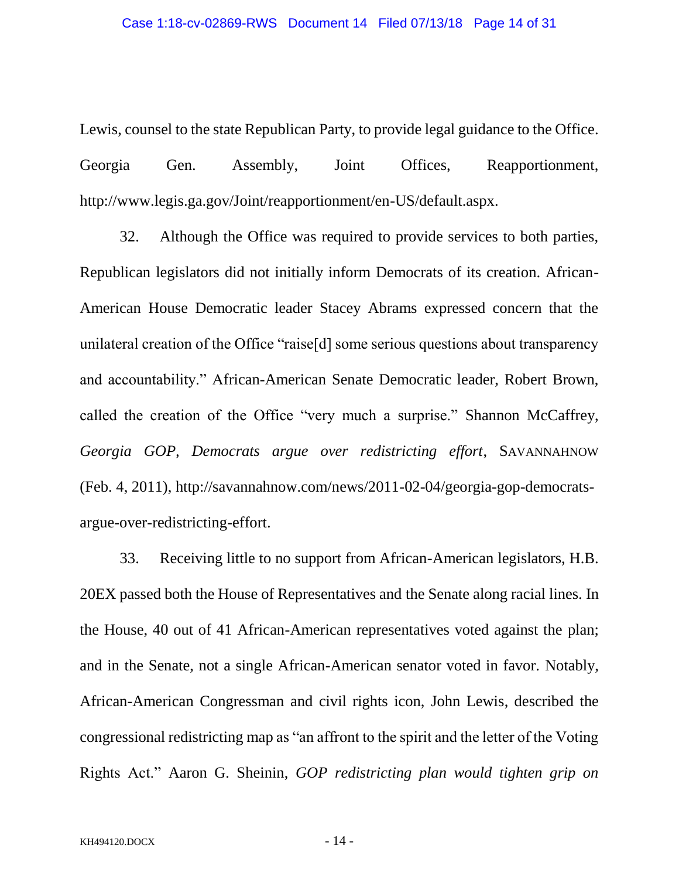Lewis, counsel to the state Republican Party, to provide legal guidance to the Office. Georgia Gen. Assembly, Joint Offices, Reapportionment, http://www.legis.ga.gov/Joint/reapportionment/en-US/default.aspx.

32. Although the Office was required to provide services to both parties, Republican legislators did not initially inform Democrats of its creation. African-American House Democratic leader Stacey Abrams expressed concern that the unilateral creation of the Office "raise[d] some serious questions about transparency and accountability." African-American Senate Democratic leader, Robert Brown, called the creation of the Office "very much a surprise." Shannon McCaffrey, *Georgia GOP, Democrats argue over redistricting effort*, SAVANNAHNOW (Feb. 4, 2011), http://savannahnow.com/news/2011-02-04/georgia-gop-democratsargue-over-redistricting-effort.

33. Receiving little to no support from African-American legislators, H.B. 20EX passed both the House of Representatives and the Senate along racial lines. In the House, 40 out of 41 African-American representatives voted against the plan; and in the Senate, not a single African-American senator voted in favor. Notably, African-American Congressman and civil rights icon, John Lewis, described the congressional redistricting map as "an affront to the spirit and the letter of the Voting Rights Act." Aaron G. Sheinin, *GOP redistricting plan would tighten grip on*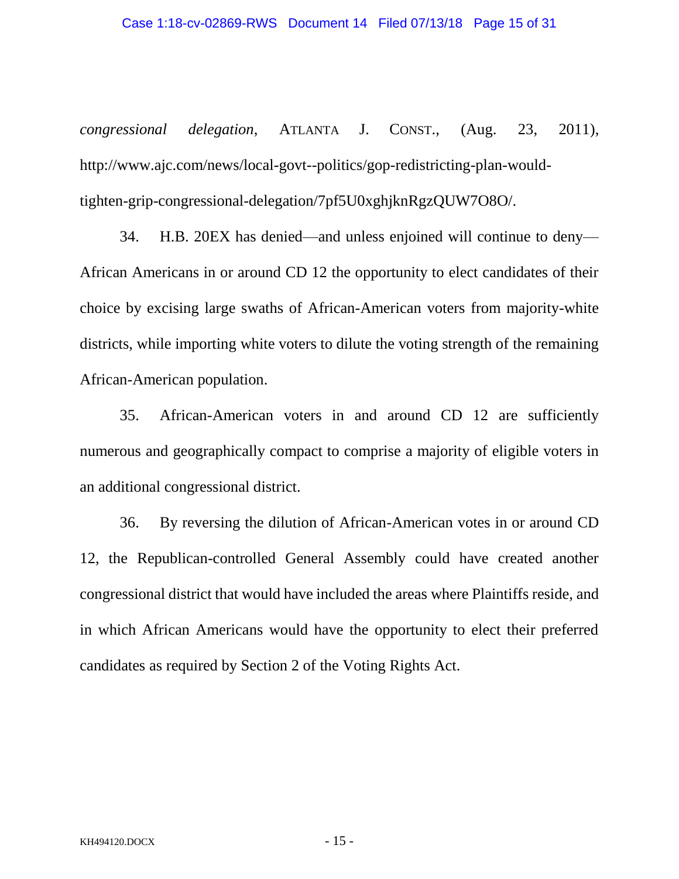*congressional delegation*, ATLANTA J. CONST., (Aug. 23, 2011), http://www.ajc.com/news/local-govt--politics/gop-redistricting-plan-wouldtighten-grip-congressional-delegation/7pf5U0xghjknRgzQUW7O8O/.

34. H.B. 20EX has denied—and unless enjoined will continue to deny— African Americans in or around CD 12 the opportunity to elect candidates of their choice by excising large swaths of African-American voters from majority-white districts, while importing white voters to dilute the voting strength of the remaining African-American population.

35. African-American voters in and around CD 12 are sufficiently numerous and geographically compact to comprise a majority of eligible voters in an additional congressional district.

36. By reversing the dilution of African-American votes in or around CD 12, the Republican-controlled General Assembly could have created another congressional district that would have included the areas where Plaintiffs reside, and in which African Americans would have the opportunity to elect their preferred candidates as required by Section 2 of the Voting Rights Act.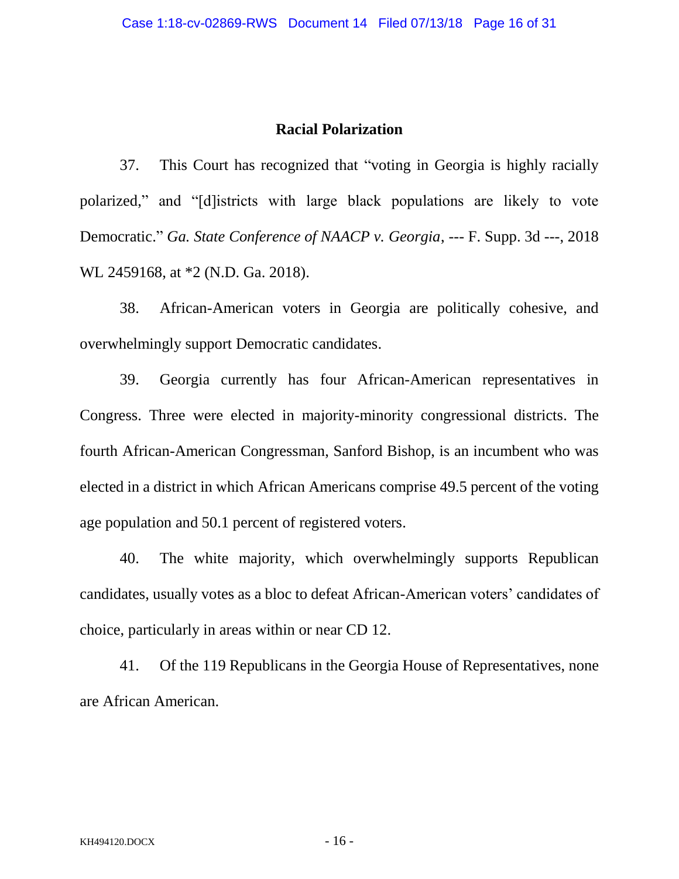#### **Racial Polarization**

37. This Court has recognized that "voting in Georgia is highly racially polarized," and "[d]istricts with large black populations are likely to vote Democratic." *Ga. State Conference of NAACP v. Georgia*, --- F. Supp. 3d ---, 2018 WL 2459168, at \*2 (N.D. Ga. 2018).

38. African-American voters in Georgia are politically cohesive, and overwhelmingly support Democratic candidates.

39. Georgia currently has four African-American representatives in Congress. Three were elected in majority-minority congressional districts. The fourth African-American Congressman, Sanford Bishop, is an incumbent who was elected in a district in which African Americans comprise 49.5 percent of the voting age population and 50.1 percent of registered voters.

40. The white majority, which overwhelmingly supports Republican candidates, usually votes as a bloc to defeat African-American voters' candidates of choice, particularly in areas within or near CD 12.

41. Of the 119 Republicans in the Georgia House of Representatives, none are African American.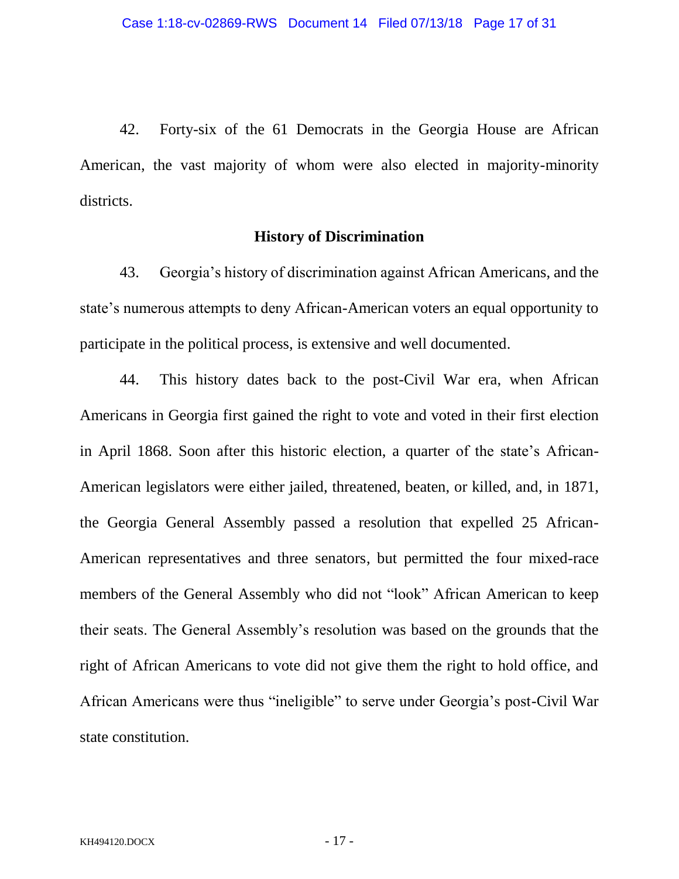42. Forty-six of the 61 Democrats in the Georgia House are African American, the vast majority of whom were also elected in majority-minority districts.

## **History of Discrimination**

43. Georgia's history of discrimination against African Americans, and the state's numerous attempts to deny African-American voters an equal opportunity to participate in the political process, is extensive and well documented.

44. This history dates back to the post-Civil War era, when African Americans in Georgia first gained the right to vote and voted in their first election in April 1868. Soon after this historic election, a quarter of the state's African-American legislators were either jailed, threatened, beaten, or killed, and, in 1871, the Georgia General Assembly passed a resolution that expelled 25 African-American representatives and three senators, but permitted the four mixed-race members of the General Assembly who did not "look" African American to keep their seats. The General Assembly's resolution was based on the grounds that the right of African Americans to vote did not give them the right to hold office, and African Americans were thus "ineligible" to serve under Georgia's post-Civil War state constitution.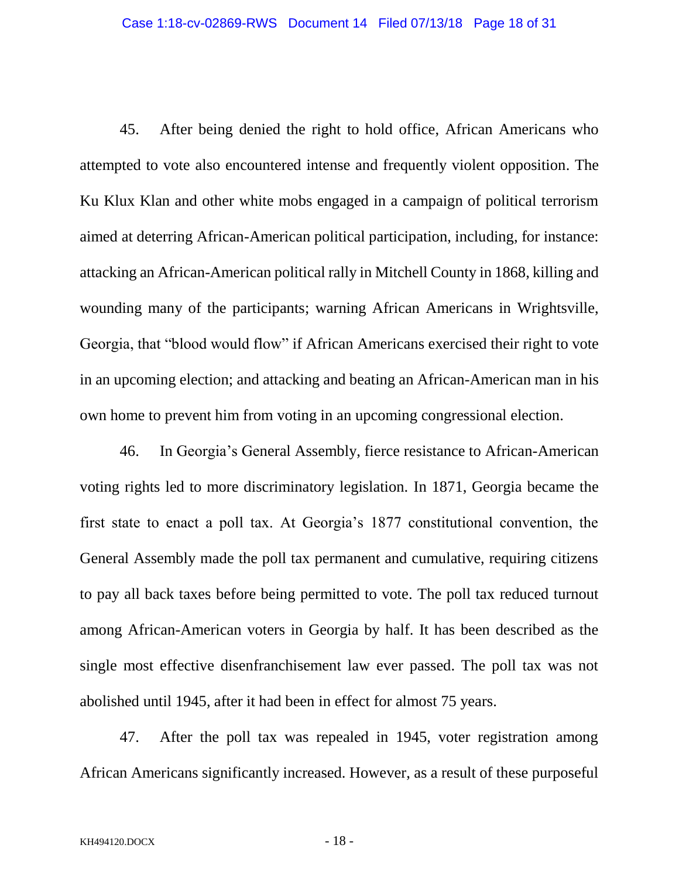45. After being denied the right to hold office, African Americans who attempted to vote also encountered intense and frequently violent opposition. The Ku Klux Klan and other white mobs engaged in a campaign of political terrorism aimed at deterring African-American political participation, including, for instance: attacking an African-American political rally in Mitchell County in 1868, killing and wounding many of the participants; warning African Americans in Wrightsville, Georgia, that "blood would flow" if African Americans exercised their right to vote in an upcoming election; and attacking and beating an African-American man in his own home to prevent him from voting in an upcoming congressional election.

46. In Georgia's General Assembly, fierce resistance to African-American voting rights led to more discriminatory legislation. In 1871, Georgia became the first state to enact a poll tax. At Georgia's 1877 constitutional convention, the General Assembly made the poll tax permanent and cumulative, requiring citizens to pay all back taxes before being permitted to vote. The poll tax reduced turnout among African-American voters in Georgia by half. It has been described as the single most effective disenfranchisement law ever passed. The poll tax was not abolished until 1945, after it had been in effect for almost 75 years.

47. After the poll tax was repealed in 1945, voter registration among African Americans significantly increased. However, as a result of these purposeful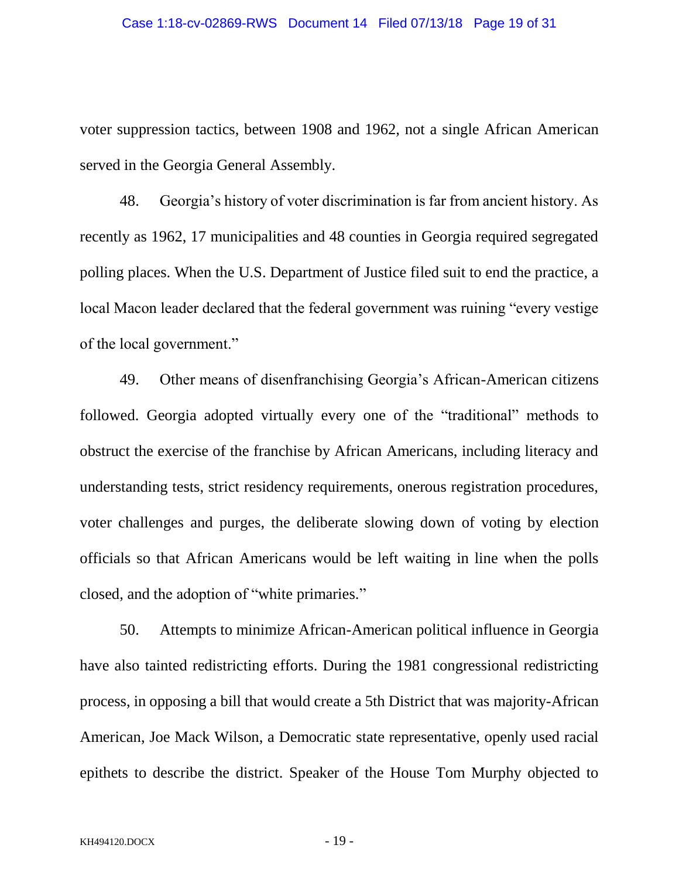voter suppression tactics, between 1908 and 1962, not a single African American served in the Georgia General Assembly.

48. Georgia's history of voter discrimination is far from ancient history. As recently as 1962, 17 municipalities and 48 counties in Georgia required segregated polling places. When the U.S. Department of Justice filed suit to end the practice, a local Macon leader declared that the federal government was ruining "every vestige of the local government."

49. Other means of disenfranchising Georgia's African-American citizens followed. Georgia adopted virtually every one of the "traditional" methods to obstruct the exercise of the franchise by African Americans, including literacy and understanding tests, strict residency requirements, onerous registration procedures, voter challenges and purges, the deliberate slowing down of voting by election officials so that African Americans would be left waiting in line when the polls closed, and the adoption of "white primaries."

50. Attempts to minimize African-American political influence in Georgia have also tainted redistricting efforts. During the 1981 congressional redistricting process, in opposing a bill that would create a 5th District that was majority-African American, Joe Mack Wilson, a Democratic state representative, openly used racial epithets to describe the district. Speaker of the House Tom Murphy objected to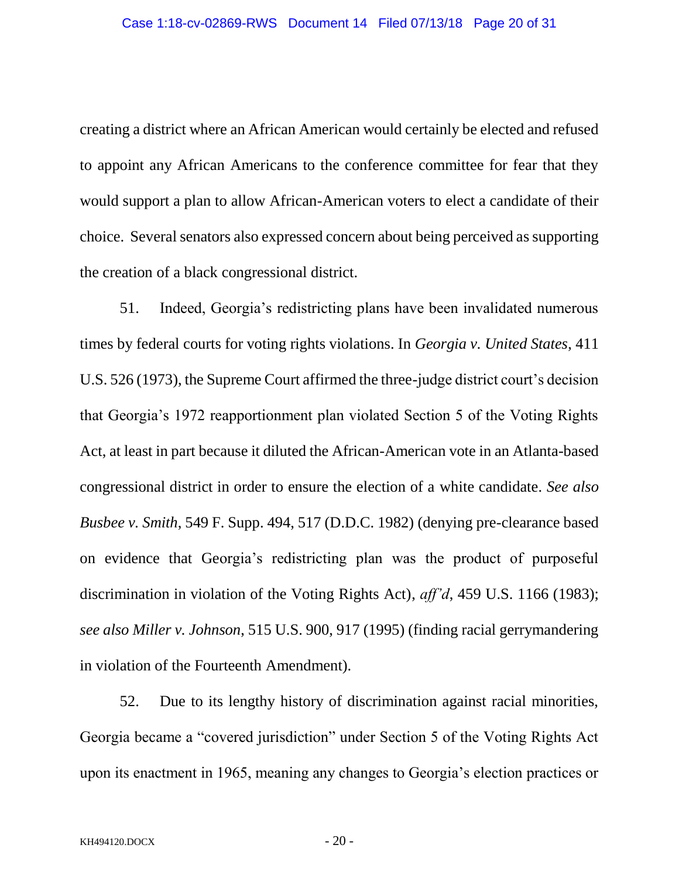creating a district where an African American would certainly be elected and refused to appoint any African Americans to the conference committee for fear that they would support a plan to allow African-American voters to elect a candidate of their choice. Several senators also expressed concern about being perceived as supporting the creation of a black congressional district.

51. Indeed, Georgia's redistricting plans have been invalidated numerous times by federal courts for voting rights violations. In *Georgia v. United States*, 411 U.S. 526 (1973), the Supreme Court affirmed the three-judge district court's decision that Georgia's 1972 reapportionment plan violated Section 5 of the Voting Rights Act, at least in part because it diluted the African-American vote in an Atlanta-based congressional district in order to ensure the election of a white candidate. *See also Busbee v. Smith*, 549 F. Supp. 494, 517 (D.D.C. 1982) (denying pre-clearance based on evidence that Georgia's redistricting plan was the product of purposeful discrimination in violation of the Voting Rights Act), *aff'd*, 459 U.S. 1166 (1983); *see also Miller v. Johnson*, 515 U.S. 900, 917 (1995) (finding racial gerrymandering in violation of the Fourteenth Amendment).

52. Due to its lengthy history of discrimination against racial minorities, Georgia became a "covered jurisdiction" under Section 5 of the Voting Rights Act upon its enactment in 1965, meaning any changes to Georgia's election practices or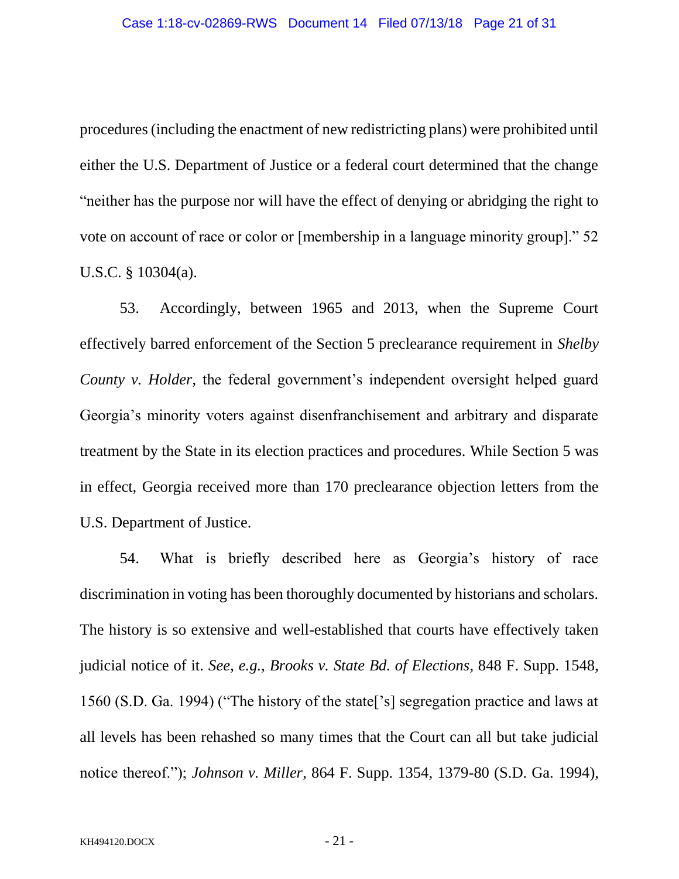procedures (including the enactment of new redistricting plans) were prohibited until either the U.S. Department of Justice or a federal court determined that the change "neither has the purpose nor will have the effect of denying or abridging the right to vote on account of race or color or [membership in a language minority group]." 52 U.S.C. § 10304(a).

53. Accordingly, between 1965 and 2013, when the Supreme Court effectively barred enforcement of the Section 5 preclearance requirement in *Shelby County v. Holder*, the federal government's independent oversight helped guard Georgia's minority voters against disenfranchisement and arbitrary and disparate treatment by the State in its election practices and procedures. While Section 5 was in effect, Georgia received more than 170 preclearance objection letters from the U.S. Department of Justice.

54. What is briefly described here as Georgia's history of race discrimination in voting has been thoroughly documented by historians and scholars. The history is so extensive and well-established that courts have effectively taken judicial notice of it. *See*, *e.g.*, *Brooks v. State Bd. of Elections*, 848 F. Supp. 1548, 1560 (S.D. Ga. 1994) ("The history of the state['s] segregation practice and laws at all levels has been rehashed so many times that the Court can all but take judicial notice thereof."); *Johnson v. Miller*, 864 F. Supp. 1354, 1379-80 (S.D. Ga. 1994),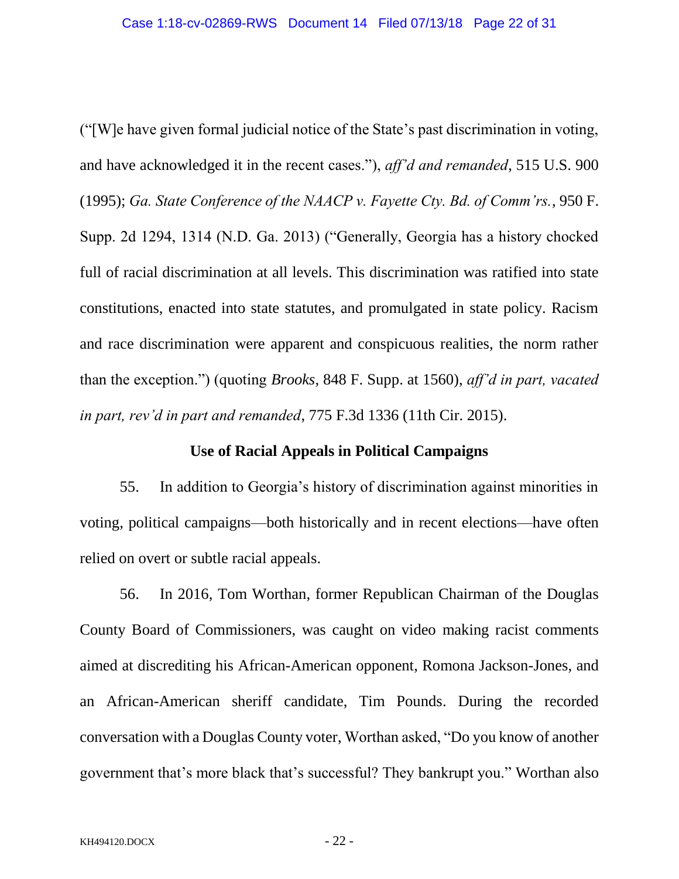("[W]e have given formal judicial notice of the State's past discrimination in voting, and have acknowledged it in the recent cases."), *aff'd and remanded*, 515 U.S. 900 (1995); *Ga. State Conference of the NAACP v. Fayette Cty. Bd. of Comm'rs.*, 950 F. Supp. 2d 1294, 1314 (N.D. Ga. 2013) ("Generally, Georgia has a history chocked full of racial discrimination at all levels. This discrimination was ratified into state constitutions, enacted into state statutes, and promulgated in state policy. Racism and race discrimination were apparent and conspicuous realities, the norm rather than the exception.") (quoting *Brooks*, 848 F. Supp. at 1560), *aff'd in part, vacated in part, rev'd in part and remanded*, 775 F.3d 1336 (11th Cir. 2015).

### **Use of Racial Appeals in Political Campaigns**

55. In addition to Georgia's history of discrimination against minorities in voting, political campaigns—both historically and in recent elections—have often relied on overt or subtle racial appeals.

56. In 2016, Tom Worthan, former Republican Chairman of the Douglas County Board of Commissioners, was caught on video making racist comments aimed at discrediting his African-American opponent, Romona Jackson-Jones, and an African-American sheriff candidate, Tim Pounds. During the recorded conversation with a Douglas County voter, Worthan asked, "Do you know of another government that's more black that's successful? They bankrupt you." Worthan also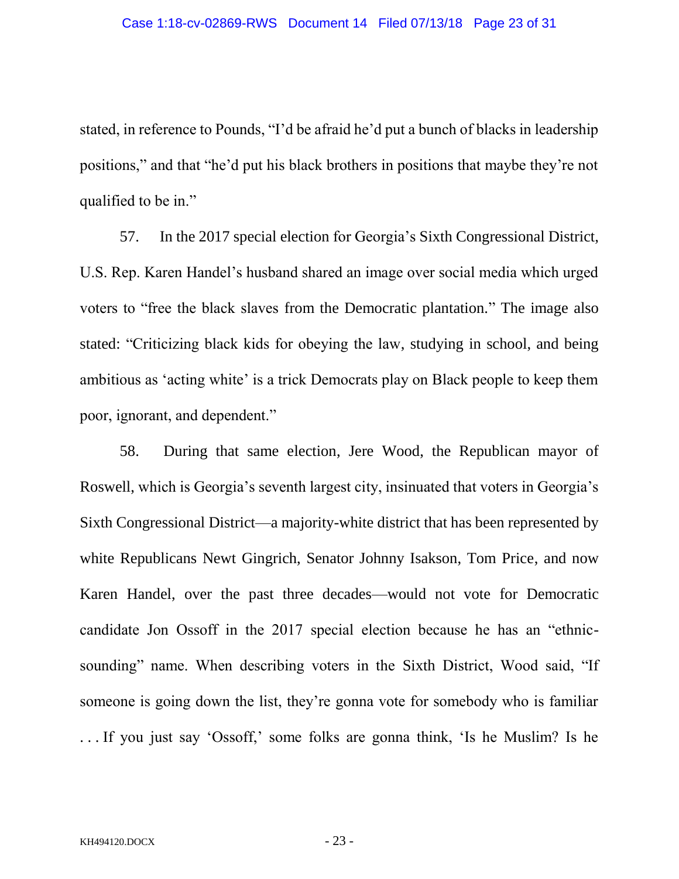stated, in reference to Pounds, "I'd be afraid he'd put a bunch of blacks in leadership positions," and that "he'd put his black brothers in positions that maybe they're not qualified to be in."

57. In the 2017 special election for Georgia's Sixth Congressional District, U.S. Rep. Karen Handel's husband shared an image over social media which urged voters to "free the black slaves from the Democratic plantation." The image also stated: "Criticizing black kids for obeying the law, studying in school, and being ambitious as 'acting white' is a trick Democrats play on Black people to keep them poor, ignorant, and dependent."

58. During that same election, Jere Wood, the Republican mayor of Roswell, which is Georgia's seventh largest city, insinuated that voters in Georgia's Sixth Congressional District—a majority-white district that has been represented by white Republicans Newt Gingrich, Senator Johnny Isakson, Tom Price, and now Karen Handel, over the past three decades—would not vote for Democratic candidate Jon Ossoff in the 2017 special election because he has an "ethnicsounding" name. When describing voters in the Sixth District, Wood said, "If someone is going down the list, they're gonna vote for somebody who is familiar . . . If you just say 'Ossoff,' some folks are gonna think, 'Is he Muslim? Is he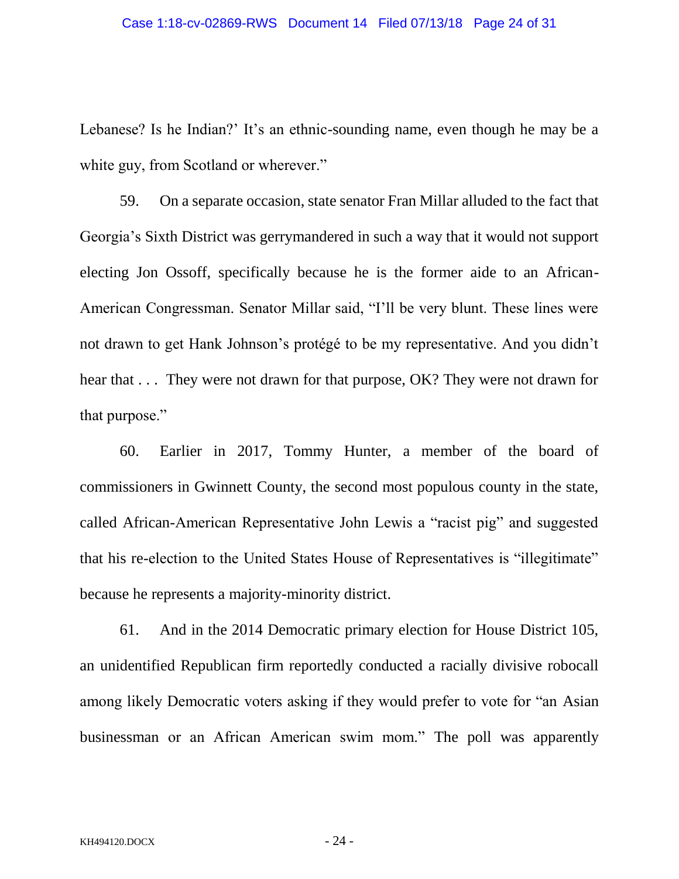Lebanese? Is he Indian?' It's an ethnic-sounding name, even though he may be a white guy, from Scotland or wherever."

59. On a separate occasion, state senator Fran Millar alluded to the fact that Georgia's Sixth District was gerrymandered in such a way that it would not support electing Jon Ossoff, specifically because he is the former aide to an African-American Congressman. Senator Millar said, "I'll be very blunt. These lines were not drawn to get Hank Johnson's protégé to be my representative. And you didn't hear that . . . They were not drawn for that purpose, OK? They were not drawn for that purpose."

60. Earlier in 2017, Tommy Hunter, a member of the board of commissioners in Gwinnett County, the second most populous county in the state, called African-American Representative John Lewis a "racist pig" and suggested that his re-election to the United States House of Representatives is "illegitimate" because he represents a majority-minority district.

61. And in the 2014 Democratic primary election for House District 105, an unidentified Republican firm reportedly conducted a racially divisive robocall among likely Democratic voters asking if they would prefer to vote for "an Asian businessman or an African American swim mom." The poll was apparently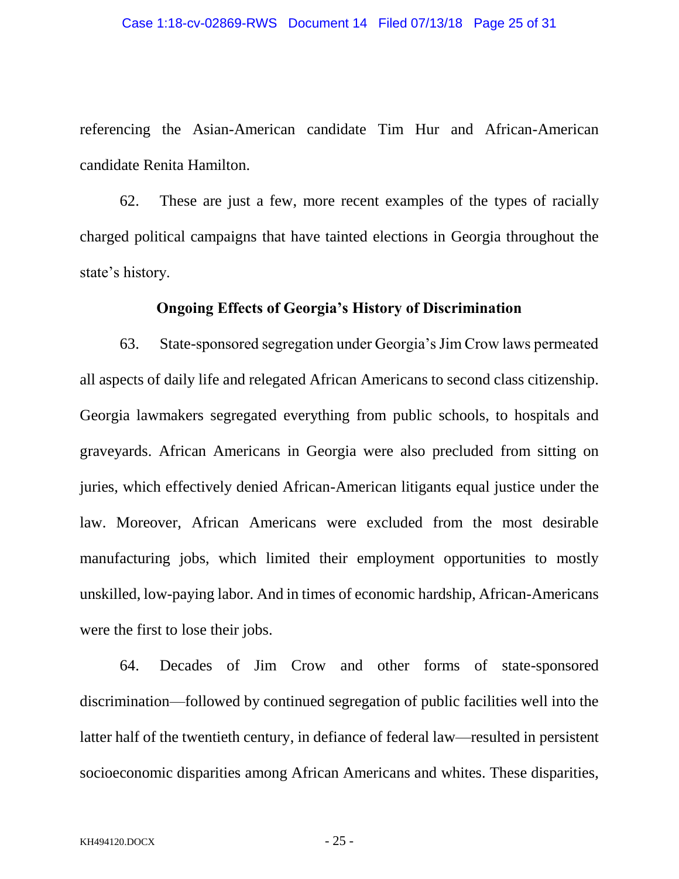referencing the Asian-American candidate Tim Hur and African-American candidate Renita Hamilton.

62. These are just a few, more recent examples of the types of racially charged political campaigns that have tainted elections in Georgia throughout the state's history.

## **Ongoing Effects of Georgia's History of Discrimination**

63. State-sponsored segregation under Georgia's Jim Crow laws permeated all aspects of daily life and relegated African Americans to second class citizenship. Georgia lawmakers segregated everything from public schools, to hospitals and graveyards. African Americans in Georgia were also precluded from sitting on juries, which effectively denied African-American litigants equal justice under the law. Moreover, African Americans were excluded from the most desirable manufacturing jobs, which limited their employment opportunities to mostly unskilled, low-paying labor. And in times of economic hardship, African-Americans were the first to lose their jobs.

64. Decades of Jim Crow and other forms of state-sponsored discrimination—followed by continued segregation of public facilities well into the latter half of the twentieth century, in defiance of federal law—resulted in persistent socioeconomic disparities among African Americans and whites. These disparities,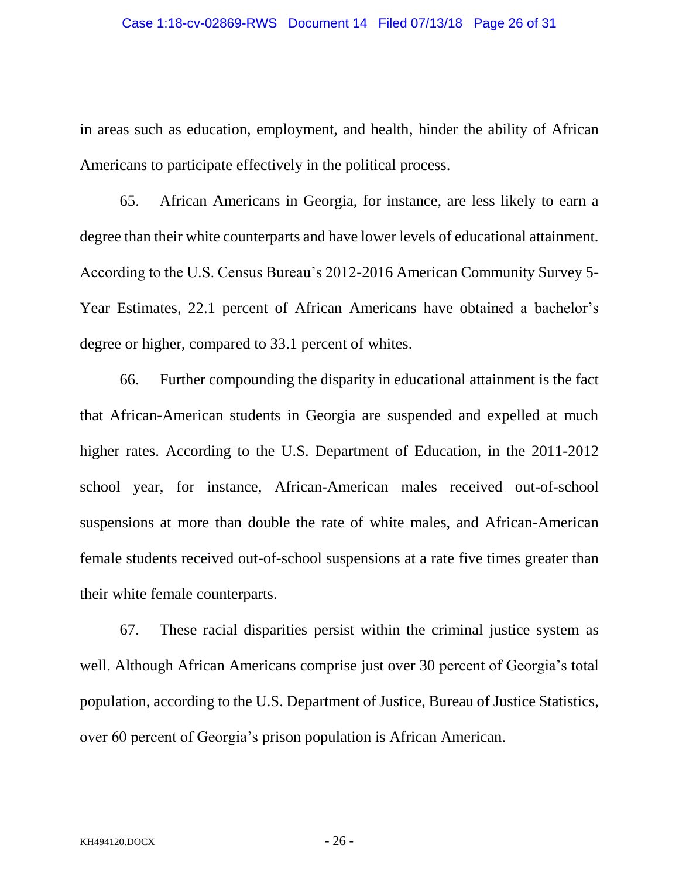in areas such as education, employment, and health, hinder the ability of African Americans to participate effectively in the political process.

65. African Americans in Georgia, for instance, are less likely to earn a degree than their white counterparts and have lower levels of educational attainment. According to the U.S. Census Bureau's 2012-2016 American Community Survey 5- Year Estimates, 22.1 percent of African Americans have obtained a bachelor's degree or higher, compared to 33.1 percent of whites.

66. Further compounding the disparity in educational attainment is the fact that African-American students in Georgia are suspended and expelled at much higher rates. According to the U.S. Department of Education, in the 2011-2012 school year, for instance, African-American males received out-of-school suspensions at more than double the rate of white males, and African-American female students received out-of-school suspensions at a rate five times greater than their white female counterparts.

67. These racial disparities persist within the criminal justice system as well. Although African Americans comprise just over 30 percent of Georgia's total population, according to the U.S. Department of Justice, Bureau of Justice Statistics, over 60 percent of Georgia's prison population is African American.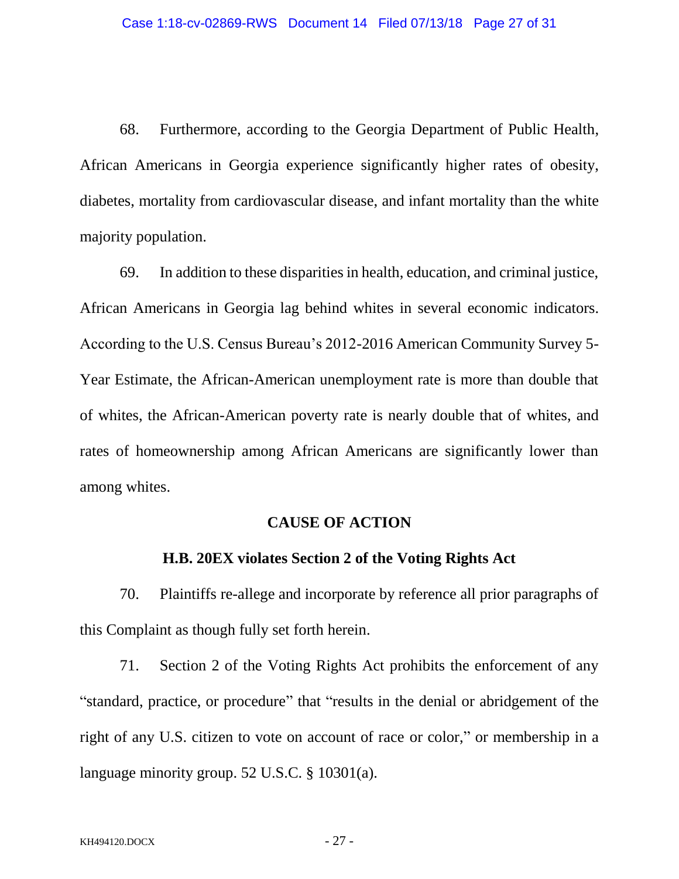68. Furthermore, according to the Georgia Department of Public Health, African Americans in Georgia experience significantly higher rates of obesity, diabetes, mortality from cardiovascular disease, and infant mortality than the white majority population.

69. In addition to these disparities in health, education, and criminal justice, African Americans in Georgia lag behind whites in several economic indicators. According to the U.S. Census Bureau's 2012-2016 American Community Survey 5- Year Estimate, the African-American unemployment rate is more than double that of whites, the African-American poverty rate is nearly double that of whites, and rates of homeownership among African Americans are significantly lower than among whites.

### **CAUSE OF ACTION**

## **H.B. 20EX violates Section 2 of the Voting Rights Act**

70. Plaintiffs re-allege and incorporate by reference all prior paragraphs of this Complaint as though fully set forth herein.

71. Section 2 of the Voting Rights Act prohibits the enforcement of any "standard, practice, or procedure" that "results in the denial or abridgement of the right of any U.S. citizen to vote on account of race or color," or membership in a language minority group. 52 U.S.C. § 10301(a).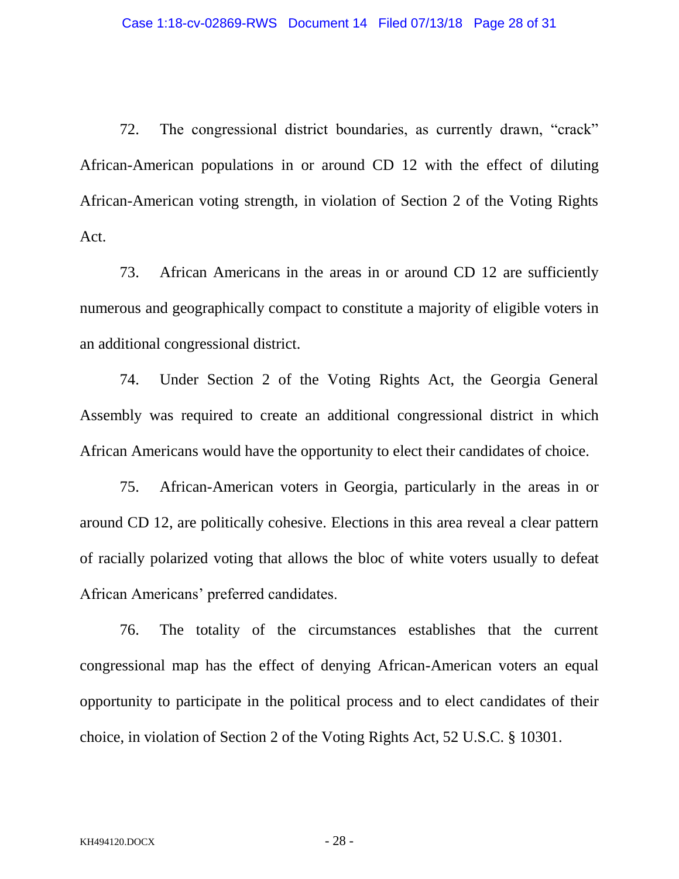72. The congressional district boundaries, as currently drawn, "crack" African-American populations in or around CD 12 with the effect of diluting African-American voting strength, in violation of Section 2 of the Voting Rights Act.

73. African Americans in the areas in or around CD 12 are sufficiently numerous and geographically compact to constitute a majority of eligible voters in an additional congressional district.

74. Under Section 2 of the Voting Rights Act, the Georgia General Assembly was required to create an additional congressional district in which African Americans would have the opportunity to elect their candidates of choice.

75. African-American voters in Georgia, particularly in the areas in or around CD 12, are politically cohesive. Elections in this area reveal a clear pattern of racially polarized voting that allows the bloc of white voters usually to defeat African Americans' preferred candidates.

76. The totality of the circumstances establishes that the current congressional map has the effect of denying African-American voters an equal opportunity to participate in the political process and to elect candidates of their choice, in violation of Section 2 of the Voting Rights Act, 52 U.S.C. § 10301.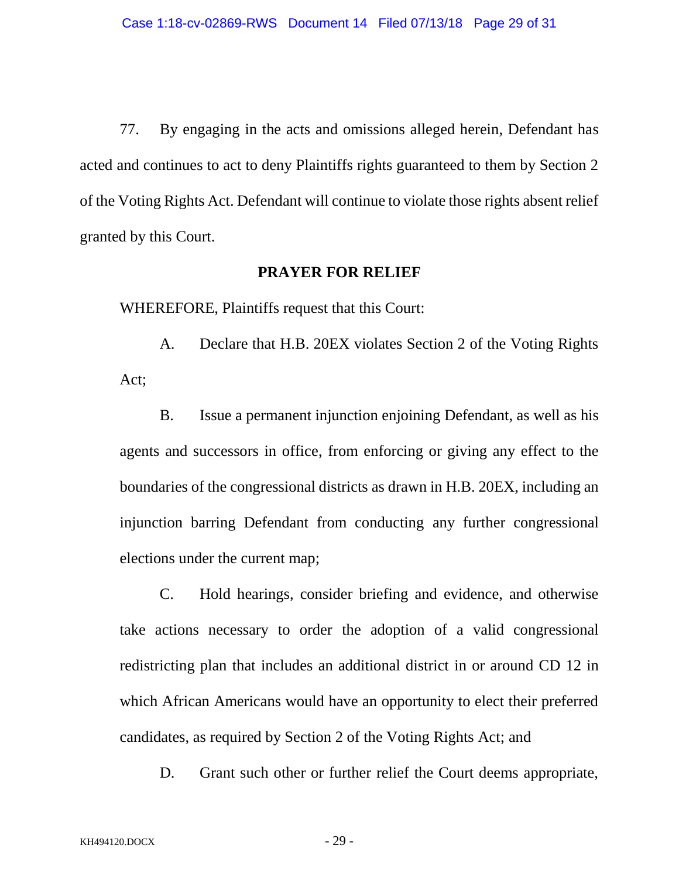77. By engaging in the acts and omissions alleged herein, Defendant has acted and continues to act to deny Plaintiffs rights guaranteed to them by Section 2 of the Voting Rights Act. Defendant will continue to violate those rights absent relief granted by this Court.

#### **PRAYER FOR RELIEF**

WHEREFORE, Plaintiffs request that this Court:

A. Declare that H.B. 20EX violates Section 2 of the Voting Rights Act;

B. Issue a permanent injunction enjoining Defendant, as well as his agents and successors in office, from enforcing or giving any effect to the boundaries of the congressional districts as drawn in H.B. 20EX, including an injunction barring Defendant from conducting any further congressional elections under the current map;

C. Hold hearings, consider briefing and evidence, and otherwise take actions necessary to order the adoption of a valid congressional redistricting plan that includes an additional district in or around CD 12 in which African Americans would have an opportunity to elect their preferred candidates, as required by Section 2 of the Voting Rights Act; and

D. Grant such other or further relief the Court deems appropriate,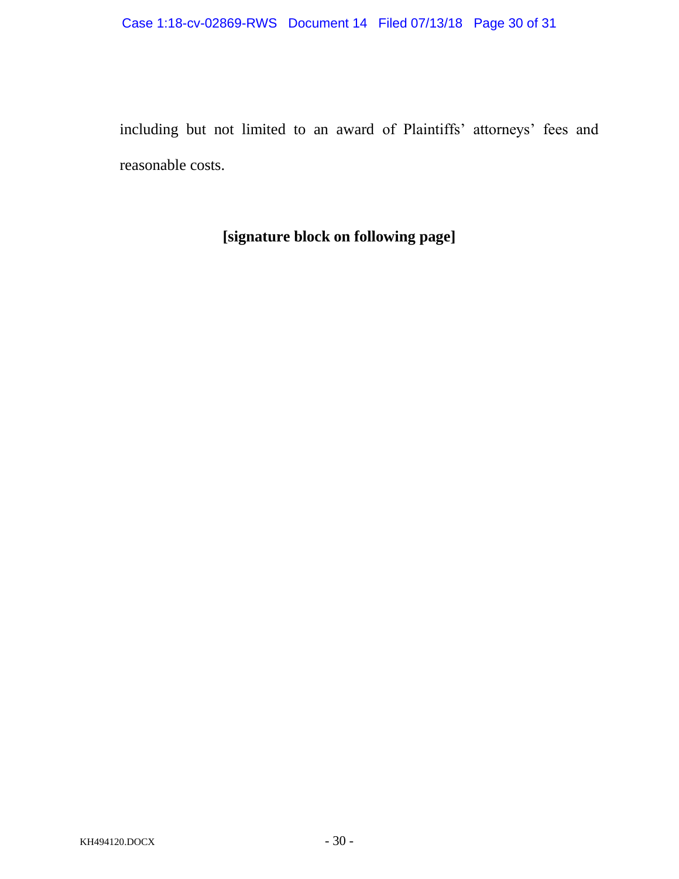including but not limited to an award of Plaintiffs' attorneys' fees and reasonable costs.

**[signature block on following page]**